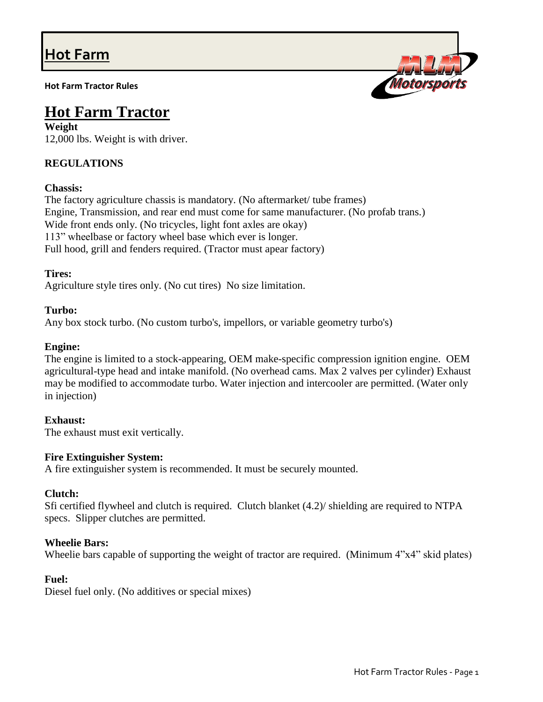# **Hot Farm**

**Hot Farm Tractor Rules**



## **Hot Farm Tractor**

**Weight**  12,000 lbs. Weight is with driver.

## **REGULATIONS**

### **Chassis:**

The factory agriculture chassis is mandatory. (No aftermarket/ tube frames) Engine, Transmission, and rear end must come for same manufacturer. (No profab trans.) Wide front ends only. (No tricycles, light font axles are okay) 113" wheelbase or factory wheel base which ever is longer. Full hood, grill and fenders required. (Tractor must apear factory)

#### **Tires:**

Agriculture style tires only. (No cut tires) No size limitation.

#### **Turbo:**

Any box stock turbo. (No custom turbo's, impellors, or variable geometry turbo's)

#### **Engine:**

The engine is limited to a stock-appearing, OEM make-specific compression ignition engine. OEM agricultural-type head and intake manifold. (No overhead cams. Max 2 valves per cylinder) Exhaust may be modified to accommodate turbo. Water injection and intercooler are permitted. (Water only in injection)

#### **Exhaust:**

The exhaust must exit vertically.

#### **Fire Extinguisher System:**

A fire extinguisher system is recommended. It must be securely mounted.

#### **Clutch:**

Sfi certified flywheel and clutch is required. Clutch blanket (4.2)/ shielding are required to NTPA specs. Slipper clutches are permitted.

#### **Wheelie Bars:**

Wheelie bars capable of supporting the weight of tractor are required. (Minimum 4"x4" skid plates)

#### **Fuel:**

Diesel fuel only. (No additives or special mixes)